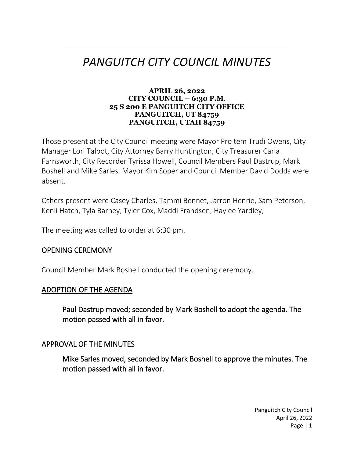# *PANGUITCH CITY COUNCIL MINUTES*

#### **APRIL 26, 2022 CITY COUNCIL – 6:30 P.M**. **25 S 200 E PANGUITCH CITY OFFICE PANGUITCH, UT 84759 PANGUITCH, UTAH 84759**

Those present at the City Council meeting were Mayor Pro tem Trudi Owens, City Manager Lori Talbot, City Attorney Barry Huntington, City Treasurer Carla Farnsworth, City Recorder Tyrissa Howell, Council Members Paul Dastrup, Mark Boshell and Mike Sarles. Mayor Kim Soper and Council Member David Dodds were absent.

Others present were Casey Charles, Tammi Bennet, Jarron Henrie, Sam Peterson, Kenli Hatch, Tyla Barney, Tyler Cox, Maddi Frandsen, Haylee Yardley,

The meeting was called to order at 6:30 pm.

### OPENING CEREMONY

Council Member Mark Boshell conducted the opening ceremony.

### ADOPTION OF THE AGENDA

Paul Dastrup moved; seconded by Mark Boshell to adopt the agenda. The motion passed with all in favor.

### APPROVAL OF THE MINUTES

Mike Sarles moved, seconded by Mark Boshell to approve the minutes. The motion passed with all in favor.

> Panguitch City Council April 26, 2022 Page | 1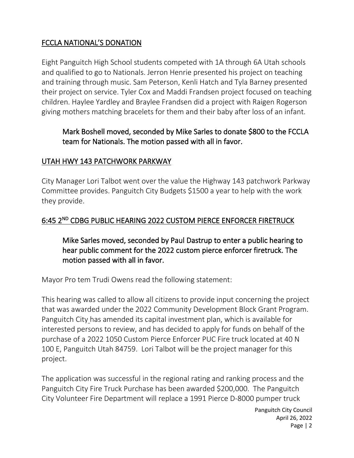## FCCLA NATIONAL'S DONATION

Eight Panguitch High School students competed with 1A through 6A Utah schools and qualified to go to Nationals. Jerron Henrie presented his project on teaching and training through music. Sam Peterson, Kenli Hatch and Tyla Barney presented their project on service. Tyler Cox and Maddi Frandsen project focused on teaching children. Haylee Yardley and Braylee Frandsen did a project with Raigen Rogerson giving mothers matching bracelets for them and their baby after loss of an infant.

## Mark Boshell moved, seconded by Mike Sarles to donate \$800 to the FCCLA team for Nationals. The motion passed with all in favor.

## UTAH HWY 143 PATCHWORK PARKWAY

City Manager Lori Talbot went over the value the Highway 143 patchwork Parkway Committee provides. Panguitch City Budgets \$1500 a year to help with the work they provide.

## 6:45 2<sup>ND</sup> CDBG PUBLIC HEARING 2022 CUSTOM PIERCE ENFORCER FIRETRUCK

Mike Sarles moved, seconded by Paul Dastrup to enter a public hearing to hear public comment for the 2022 custom pierce enforcer firetruck. The motion passed with all in favor.

Mayor Pro tem Trudi Owens read the following statement:

This hearing was called to allow all citizens to provide input concerning the project that was awarded under the 2022 Community Development Block Grant Program. Panguitch City has amended its capital investment plan, which is available for interested persons to review, and has decided to apply for funds on behalf of the purchase of a 2022 1050 Custom Pierce Enforcer PUC Fire truck located at 40 N 100 E, Panguitch Utah 84759. Lori Talbot will be the project manager for this project.

The application was successful in the regional rating and ranking process and the Panguitch City Fire Truck Purchase has been awarded \$200,000. The Panguitch City Volunteer Fire Department will replace a 1991 Pierce D-8000 pumper truck

> Panguitch City Council April 26, 2022 Page | 2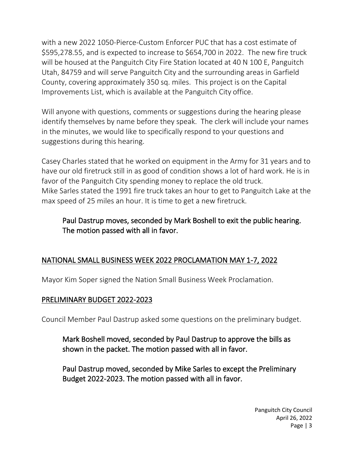with a new 2022 1050-Pierce-Custom Enforcer PUC that has a cost estimate of \$595,278.55, and is expected to increase to \$654,700 in 2022. The new fire truck will be housed at the Panguitch City Fire Station located at 40 N 100 E, Panguitch Utah, 84759 and will serve Panguitch City and the surrounding areas in Garfield County, covering approximately 350 sq. miles. This project is on the Capital Improvements List, which is available at the Panguitch City office.

Will anyone with questions, comments or suggestions during the hearing please identify themselves by name before they speak. The clerk will include your names in the minutes, we would like to specifically respond to your questions and suggestions during this hearing.

Casey Charles stated that he worked on equipment in the Army for 31 years and to have our old firetruck still in as good of condition shows a lot of hard work. He is in favor of the Panguitch City spending money to replace the old truck. Mike Sarles stated the 1991 fire truck takes an hour to get to Panguitch Lake at the max speed of 25 miles an hour. It is time to get a new firetruck.

## Paul Dastrup moves, seconded by Mark Boshell to exit the public hearing. The motion passed with all in favor.

# NATIONAL SMALL BUSINESS WEEK 2022 PROCLAMATION MAY 1-7, 2022

Mayor Kim Soper signed the Nation Small Business Week Proclamation.

## PRELIMINARY BUDGET 2022-2023

Council Member Paul Dastrup asked some questions on the preliminary budget.

Mark Boshell moved, seconded by Paul Dastrup to approve the bills as shown in the packet. The motion passed with all in favor.

Paul Dastrup moved, seconded by Mike Sarles to except the Preliminary Budget 2022-2023. The motion passed with all in favor.